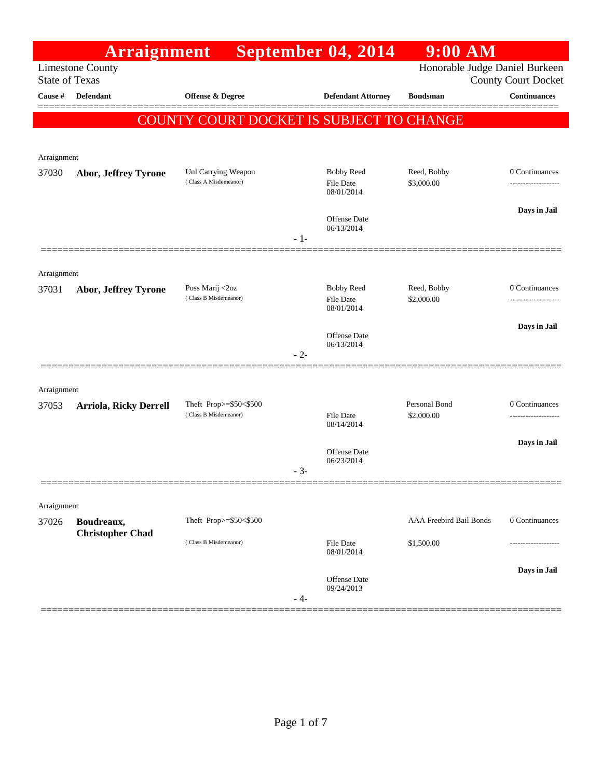|                       | <b>Arraignment</b>            |                                                 |       | September 04, 2014                                  | $9:00$ AM                   |                                                              |
|-----------------------|-------------------------------|-------------------------------------------------|-------|-----------------------------------------------------|-----------------------------|--------------------------------------------------------------|
| <b>State of Texas</b> | <b>Limestone County</b>       |                                                 |       |                                                     |                             | Honorable Judge Daniel Burkeen<br><b>County Court Docket</b> |
| Cause #               | <b>Defendant</b>              | <b>Offense &amp; Degree</b>                     |       | <b>Defendant Attorney</b>                           | <b>Bondsman</b>             | <b>Continuances</b>                                          |
|                       |                               | COUNTY COURT DOCKET IS SUBJECT TO CHANGE        |       |                                                     |                             |                                                              |
|                       |                               |                                                 |       |                                                     |                             |                                                              |
| Arraignment           |                               |                                                 |       |                                                     |                             |                                                              |
| 37030                 | Abor, Jeffrey Tyrone          | Unl Carrying Weapon<br>(Class A Misdemeanor)    |       | <b>Bobby Reed</b><br><b>File Date</b><br>08/01/2014 | Reed, Bobby<br>\$3,000.00   | 0 Continuances                                               |
|                       |                               |                                                 | $-1-$ | <b>Offense Date</b><br>06/13/2014                   |                             | Days in Jail                                                 |
|                       |                               |                                                 |       |                                                     |                             |                                                              |
| Arraignment           |                               |                                                 |       |                                                     |                             |                                                              |
| 37031                 | Abor, Jeffrey Tyrone          | Poss Marij <2oz<br>(Class B Misdemeanor)        |       | <b>Bobby Reed</b><br><b>File Date</b><br>08/01/2014 | Reed, Bobby<br>\$2,000.00   | 0 Continuances                                               |
|                       |                               |                                                 |       |                                                     |                             | Days in Jail                                                 |
|                       |                               |                                                 | $-2-$ | Offense Date<br>06/13/2014                          |                             |                                                              |
| Arraignment           |                               |                                                 |       |                                                     |                             |                                                              |
| 37053                 | <b>Arriola, Ricky Derrell</b> | Theft Prop>=\$50<\$500<br>(Class B Misdemeanor) |       | <b>File Date</b><br>08/14/2014                      | Personal Bond<br>\$2,000.00 | 0 Continuances<br>                                           |
|                       |                               |                                                 |       | Offense Date<br>06/23/2014                          |                             | Days in Jail                                                 |
|                       |                               |                                                 | $-3-$ |                                                     |                             |                                                              |
|                       |                               |                                                 |       |                                                     |                             |                                                              |
| Arraignment<br>37026  | Boudreaux,                    | Theft Prop>=\$50<\$500                          |       |                                                     | AAA Freebird Bail Bonds     | 0 Continuances                                               |
|                       | <b>Christopher Chad</b>       | (Class B Misdemeanor)                           |       | <b>File Date</b><br>08/01/2014                      | \$1,500.00                  |                                                              |
|                       |                               |                                                 | - 4-  | Offense Date<br>09/24/2013                          |                             | Days in Jail                                                 |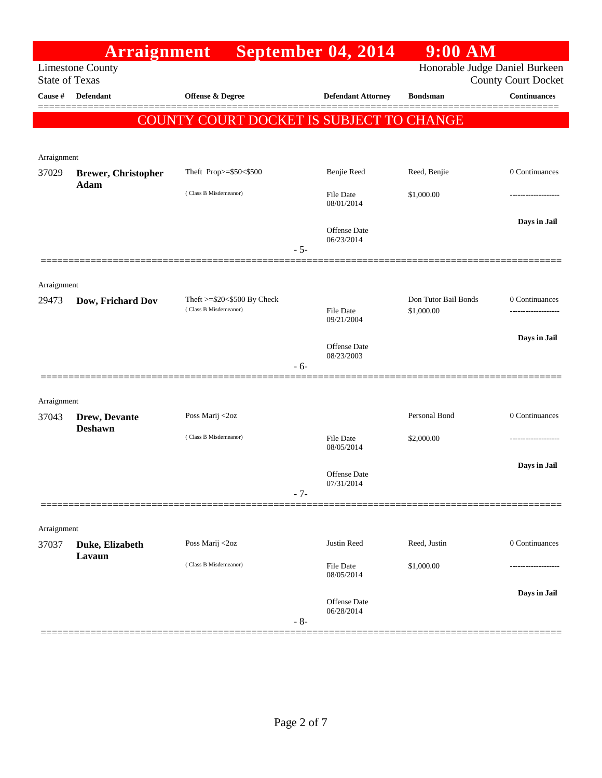|                       | <b>Arraignment</b>         |                                                             |       | September 04, 2014                | $9:00$ AM                          |                                     |
|-----------------------|----------------------------|-------------------------------------------------------------|-------|-----------------------------------|------------------------------------|-------------------------------------|
| <b>State of Texas</b> | <b>Limestone County</b>    |                                                             |       |                                   | Honorable Judge Daniel Burkeen     | <b>County Court Docket</b>          |
| Cause #               | Defendant                  | <b>Offense &amp; Degree</b>                                 |       | <b>Defendant Attorney</b>         | <b>Bondsman</b>                    | <b>Continuances</b>                 |
|                       |                            | COUNTY COURT DOCKET IS SUBJECT TO CHANGE                    |       |                                   |                                    |                                     |
| Arraignment           |                            |                                                             |       |                                   |                                    |                                     |
| 37029                 | <b>Brewer, Christopher</b> | Theft Prop>=\$50<\$500                                      |       | Benjie Reed                       | Reed, Benjie                       | 0 Continuances                      |
|                       | Adam                       | (Class B Misdemeanor)                                       |       | File Date<br>08/01/2014           | \$1,000.00                         |                                     |
|                       |                            |                                                             | $-5-$ | <b>Offense Date</b><br>06/23/2014 |                                    | Days in Jail                        |
|                       |                            |                                                             |       |                                   |                                    |                                     |
| Arraignment<br>29473  | Dow, Frichard Dov          | Theft $>=$ \$20 $<$ \$500 By Check<br>(Class B Misdemeanor) |       | File Date                         | Don Tutor Bail Bonds<br>\$1,000.00 | 0 Continuances<br>----------------- |
|                       |                            |                                                             |       | 09/21/2004                        |                                    |                                     |
|                       |                            |                                                             |       | <b>Offense Date</b><br>08/23/2003 |                                    | Days in Jail                        |
|                       |                            |                                                             | $-6-$ |                                   |                                    |                                     |
| Arraignment           |                            |                                                             |       |                                   |                                    |                                     |
| 37043                 | Drew, Devante              | Poss Marij <2oz                                             |       |                                   | Personal Bond                      | 0 Continuances                      |
|                       | <b>Deshawn</b>             | (Class B Misdemeanor)                                       |       | File Date<br>08/05/2014           | \$2,000.00                         |                                     |
|                       |                            |                                                             | $-7-$ | <b>Offense</b> Date<br>07/31/2014 |                                    | Days in Jail                        |
| Arraignment           |                            |                                                             |       |                                   |                                    |                                     |
| 37037                 | Duke, Elizabeth<br>Lavaun  | Poss Marij <2oz                                             |       | Justin Reed                       | Reed, Justin                       | 0 Continuances                      |
|                       |                            | (Class B Misdemeanor)                                       |       | File Date<br>08/05/2014           | \$1,000.00                         | -------------                       |
|                       |                            |                                                             | $-8-$ | Offense Date<br>06/28/2014        |                                    | Days in Jail                        |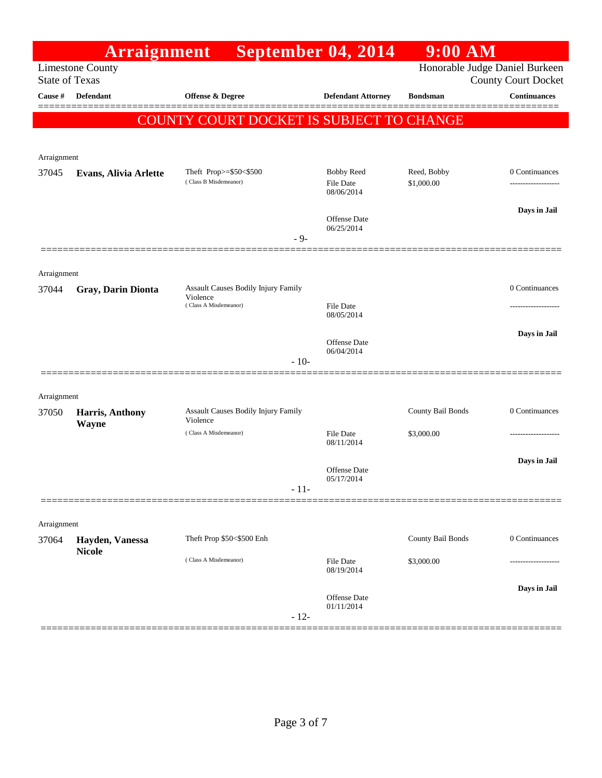|                       | <b>Arraignment</b>               |                                                 | September 04, 2014                | 9:00 AM                        |                            |
|-----------------------|----------------------------------|-------------------------------------------------|-----------------------------------|--------------------------------|----------------------------|
| <b>State of Texas</b> | <b>Limestone County</b>          |                                                 |                                   | Honorable Judge Daniel Burkeen | <b>County Court Docket</b> |
| Cause #               | <b>Defendant</b>                 | <b>Offense &amp; Degree</b>                     | <b>Defendant Attorney</b>         | <b>Bondsman</b>                | <b>Continuances</b>        |
|                       |                                  |                                                 |                                   |                                |                            |
|                       |                                  | COUNTY COURT DOCKET IS SUBJECT TO CHANGE        |                                   |                                |                            |
|                       |                                  |                                                 |                                   |                                |                            |
| Arraignment<br>37045  | Evans, Alivia Arlette            | Theft Prop>=\$50<\$500                          | <b>Bobby Reed</b>                 | Reed, Bobby                    | 0 Continuances             |
|                       |                                  | (Class B Misdemeanor)                           | <b>File Date</b><br>08/06/2014    | \$1,000.00                     | ------------------         |
|                       |                                  |                                                 |                                   |                                | Days in Jail               |
|                       |                                  |                                                 | <b>Offense Date</b><br>06/25/2014 |                                |                            |
|                       |                                  | $-9-$                                           |                                   |                                |                            |
|                       |                                  |                                                 |                                   |                                |                            |
| Arraignment<br>37044  | Gray, Darin Dionta               | Assault Causes Bodily Injury Family             |                                   |                                | 0 Continuances             |
|                       |                                  | Violence<br>(Class A Misdemeanor)               | <b>File Date</b>                  |                                |                            |
|                       |                                  |                                                 | 08/05/2014                        |                                |                            |
|                       |                                  |                                                 | <b>Offense Date</b>               |                                | Days in Jail               |
|                       |                                  | $-10-$                                          | 06/04/2014                        |                                |                            |
|                       |                                  |                                                 |                                   |                                |                            |
| Arraignment           |                                  |                                                 |                                   |                                |                            |
| 37050                 | Harris, Anthony                  | Assault Causes Bodily Injury Family<br>Violence |                                   | County Bail Bonds              | 0 Continuances             |
|                       | Wayne                            | (Class A Misdemeanor)                           | <b>File Date</b><br>08/11/2014    | \$3,000.00                     | ----------------           |
|                       |                                  |                                                 |                                   |                                | Days in Jail               |
|                       |                                  |                                                 | Offense Date<br>05/17/2014        |                                |                            |
|                       |                                  | $-11-$                                          |                                   |                                |                            |
|                       |                                  |                                                 |                                   |                                |                            |
| Arraignment           |                                  |                                                 |                                   |                                |                            |
| 37064                 | Hayden, Vanessa<br><b>Nicole</b> | Theft Prop \$50<\$500 Enh                       |                                   | County Bail Bonds              | 0 Continuances             |
|                       |                                  | (Class A Misdemeanor)                           | <b>File Date</b><br>08/19/2014    | \$3,000.00                     |                            |
|                       |                                  |                                                 |                                   |                                | Days in Jail               |
|                       |                                  |                                                 | Offense Date<br>01/11/2014        |                                |                            |
|                       |                                  | $-12-$                                          |                                   |                                |                            |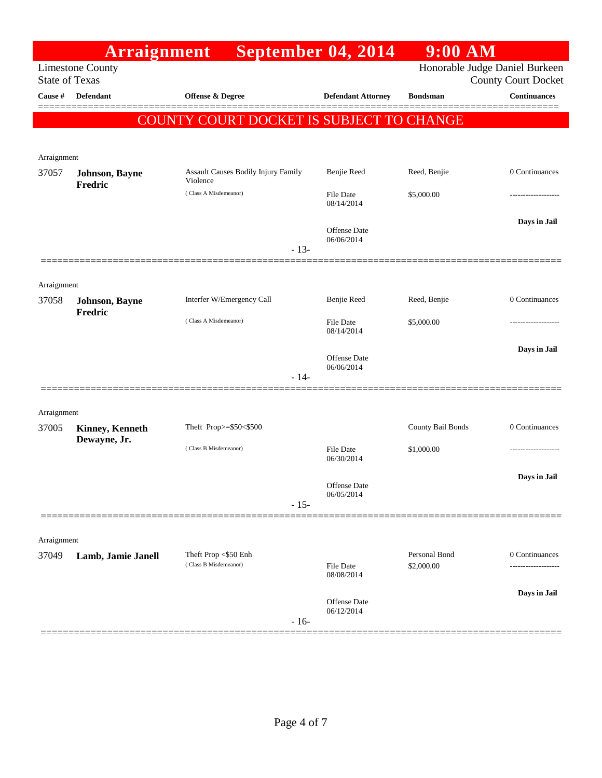|                       | <b>Arraignment</b>               |                                               |        | September 04, 2014                | $9:00$ AM                   |                                    |
|-----------------------|----------------------------------|-----------------------------------------------|--------|-----------------------------------|-----------------------------|------------------------------------|
|                       | Limestone County                 |                                               |        |                                   |                             | Honorable Judge Daniel Burkeen     |
| <b>State of Texas</b> |                                  |                                               |        |                                   |                             | <b>County Court Docket</b>         |
| Cause #               | Defendant                        | Offense & Degree                              |        | <b>Defendant Attorney</b>         | <b>Bondsman</b>             | <b>Continuances</b>                |
|                       |                                  | COUNTY COURT DOCKET IS SUBJECT TO CHANGE      |        |                                   |                             |                                    |
|                       |                                  |                                               |        |                                   |                             |                                    |
| Arraignment           |                                  |                                               |        |                                   |                             |                                    |
| 37057                 | Johnson, Bayne                   | <b>Assault Causes Bodily Injury Family</b>    |        | Benjie Reed                       | Reed, Benjie                | 0 Continuances                     |
|                       | <b>Fredric</b>                   | Violence<br>(Class A Misdemeanor)             |        | <b>File Date</b><br>08/14/2014    | \$5,000.00                  |                                    |
|                       |                                  |                                               |        | <b>Offense Date</b><br>06/06/2014 |                             | Days in Jail                       |
|                       |                                  |                                               | $-13-$ |                                   |                             |                                    |
|                       |                                  |                                               |        |                                   |                             |                                    |
| Arraignment           |                                  |                                               |        |                                   |                             |                                    |
| 37058                 | Johnson, Bayne<br><b>Fredric</b> | Interfer W/Emergency Call                     |        | Benjie Reed                       | Reed, Benjie                | 0 Continuances                     |
|                       |                                  | (Class A Misdemeanor)                         |        | File Date<br>08/14/2014           | \$5,000.00                  |                                    |
|                       |                                  |                                               |        | <b>Offense Date</b><br>06/06/2014 |                             | Days in Jail                       |
|                       |                                  |                                               | $-14-$ |                                   |                             |                                    |
|                       |                                  |                                               |        |                                   |                             |                                    |
| Arraignment           |                                  |                                               |        |                                   | County Bail Bonds           | 0 Continuances                     |
| 37005                 | Kinney, Kenneth<br>Dewayne, Jr.  | Theft Prop>=\$50<\$500                        |        |                                   |                             |                                    |
|                       |                                  | (Class B Misdemeanor)                         |        | <b>File Date</b><br>06/30/2014    | \$1,000.00                  |                                    |
|                       |                                  |                                               |        |                                   |                             | Days in Jail                       |
|                       |                                  |                                               |        | Offense Date<br>06/05/2014        |                             |                                    |
|                       |                                  |                                               | $-15-$ |                                   |                             |                                    |
|                       |                                  |                                               |        |                                   |                             |                                    |
| Arraignment           |                                  |                                               |        |                                   |                             |                                    |
| 37049                 | Lamb, Jamie Janell               | Theft Prop <\$50 Enh<br>(Class B Misdemeanor) |        | <b>File Date</b><br>08/08/2014    | Personal Bond<br>\$2,000.00 | 0 Continuances<br>---------------- |
|                       |                                  |                                               |        |                                   |                             | Days in Jail                       |
|                       |                                  |                                               | $-16-$ | Offense Date<br>06/12/2014        |                             |                                    |
|                       |                                  |                                               |        |                                   |                             |                                    |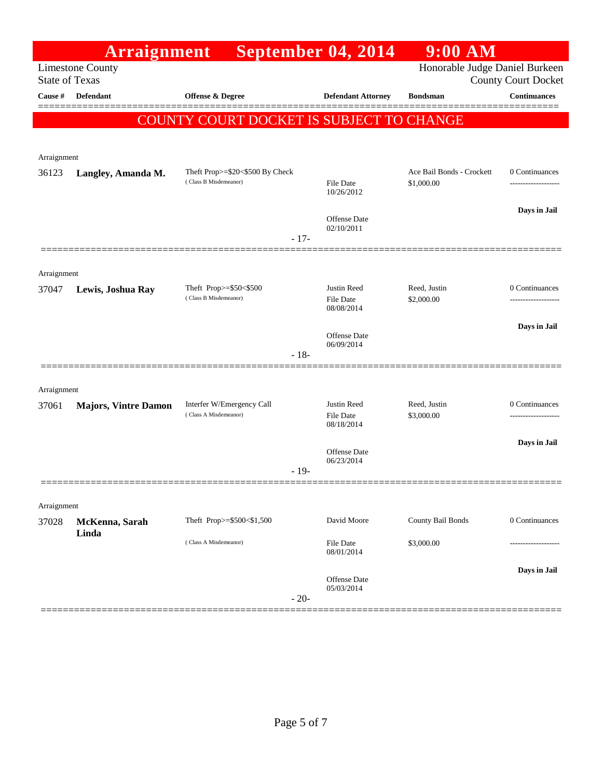|                       | <b>Arraignment</b>          |                                                          | September 04, 2014                     | $9:00$ AM                               |                                       |
|-----------------------|-----------------------------|----------------------------------------------------------|----------------------------------------|-----------------------------------------|---------------------------------------|
| <b>State of Texas</b> | <b>Limestone County</b>     |                                                          |                                        | Honorable Judge Daniel Burkeen          | <b>County Court Docket</b>            |
| Cause #               | Defendant                   | <b>Offense &amp; Degree</b>                              | <b>Defendant Attorney</b>              | <b>Bondsman</b>                         | <b>Continuances</b>                   |
|                       |                             | <b>COUNTY COURT DOCKET IS SUBJECT TO CHANGE</b>          |                                        |                                         |                                       |
|                       |                             |                                                          |                                        |                                         |                                       |
| Arraignment           |                             |                                                          |                                        |                                         |                                       |
| 36123                 | Langley, Amanda M.          | Theft Prop>=\$20<\$500 By Check<br>(Class B Misdemeanor) | <b>File Date</b><br>10/26/2012         | Ace Bail Bonds - Crockett<br>\$1,000.00 | 0 Continuances                        |
|                       |                             |                                                          | Offense Date<br>02/10/2011             |                                         | Days in Jail                          |
|                       |                             | $-17-$                                                   |                                        |                                         |                                       |
| Arraignment           |                             |                                                          |                                        |                                         |                                       |
| 37047                 | Lewis, Joshua Ray           | Theft Prop>=\$50<\$500<br>(Class B Misdemeanor)          | Justin Reed<br>File Date<br>08/08/2014 | Reed, Justin<br>\$2,000.00              | 0 Continuances<br>------------------- |
|                       |                             |                                                          |                                        |                                         | Days in Jail                          |
|                       |                             | $-18-$                                                   | Offense Date<br>06/09/2014             |                                         |                                       |
|                       |                             |                                                          |                                        |                                         |                                       |
| Arraignment<br>37061  | <b>Majors, Vintre Damon</b> | Interfer W/Emergency Call                                | Justin Reed                            | Reed, Justin                            | 0 Continuances                        |
|                       |                             | (Class A Misdemeanor)                                    | File Date<br>08/18/2014                | \$3,000.00                              |                                       |
|                       |                             |                                                          | Offense Date<br>06/23/2014             |                                         | Days in Jail                          |
|                       |                             | $-19-$                                                   |                                        |                                         |                                       |
|                       |                             |                                                          |                                        |                                         |                                       |
| Arraignment<br>37028  | McKenna, Sarah              | Theft Prop>=\$500<\$1,500                                | David Moore                            | <b>County Bail Bonds</b>                | 0 Continuances                        |
|                       | Linda                       | (Class A Misdemeanor)                                    | File Date<br>08/01/2014                | \$3,000.00                              |                                       |
|                       |                             | $-20-$                                                   | Offense Date<br>05/03/2014             |                                         | Days in Jail                          |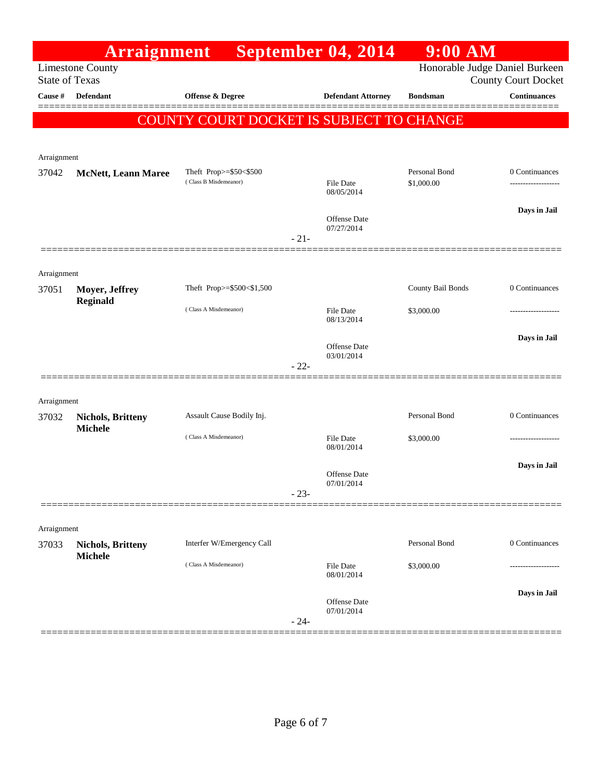|                       | <b>Arraignment</b>                         |                                                 |        | September 04, 2014                | $9:00$ AM                      |                                      |
|-----------------------|--------------------------------------------|-------------------------------------------------|--------|-----------------------------------|--------------------------------|--------------------------------------|
| <b>State of Texas</b> | <b>Limestone County</b>                    |                                                 |        |                                   | Honorable Judge Daniel Burkeen | <b>County Court Docket</b>           |
| Cause #               | <b>Defendant</b>                           | <b>Offense &amp; Degree</b>                     |        | <b>Defendant Attorney</b>         | <b>Bondsman</b>                | <b>Continuances</b>                  |
|                       |                                            | COUNTY COURT DOCKET IS SUBJECT TO CHANGE        |        |                                   |                                |                                      |
|                       |                                            |                                                 |        |                                   |                                |                                      |
| Arraignment           |                                            |                                                 |        |                                   |                                |                                      |
| 37042                 | <b>McNett, Leann Maree</b>                 | Theft Prop>=\$50<\$500<br>(Class B Misdemeanor) |        | <b>File Date</b><br>08/05/2014    | Personal Bond<br>\$1,000.00    | 0 Continuances<br>------------------ |
|                       |                                            |                                                 |        | <b>Offense Date</b><br>07/27/2014 |                                | Days in Jail                         |
|                       |                                            |                                                 | $-21-$ |                                   |                                |                                      |
|                       |                                            |                                                 |        |                                   |                                |                                      |
| Arraignment<br>37051  | Moyer, Jeffrey                             | Theft Prop>=\$500<\$1,500                       |        |                                   | County Bail Bonds              | 0 Continuances                       |
|                       | <b>Reginald</b>                            | (Class A Misdemeanor)                           |        | <b>File Date</b><br>08/13/2014    | \$3,000.00                     | -------------                        |
|                       |                                            |                                                 |        | <b>Offense Date</b>               |                                | Days in Jail                         |
|                       |                                            |                                                 | $-22-$ | 03/01/2014                        |                                |                                      |
|                       |                                            |                                                 |        |                                   |                                |                                      |
| Arraignment           |                                            |                                                 |        |                                   |                                |                                      |
| 37032                 | <b>Nichols, Britteny</b><br><b>Michele</b> | Assault Cause Bodily Inj.                       |        |                                   | Personal Bond                  | 0 Continuances                       |
|                       |                                            | (Class A Misdemeanor)                           |        | File Date<br>08/01/2014           | \$3,000.00                     |                                      |
|                       |                                            |                                                 |        | <b>Offense Date</b>               |                                | Days in Jail                         |
|                       |                                            |                                                 | $-23-$ | 07/01/2014                        |                                |                                      |
|                       |                                            |                                                 |        |                                   |                                |                                      |
| Arraignment           |                                            |                                                 |        |                                   |                                |                                      |
| 37033                 | <b>Nichols, Britteny</b><br><b>Michele</b> | Interfer W/Emergency Call                       |        |                                   | Personal Bond                  | 0 Continuances                       |
|                       |                                            | (Class A Misdemeanor)                           |        | <b>File Date</b><br>08/01/2014    | \$3,000.00                     | .                                    |
|                       |                                            |                                                 |        | Offense Date                      |                                | Days in Jail                         |
|                       |                                            |                                                 | $-24-$ | 07/01/2014                        |                                |                                      |